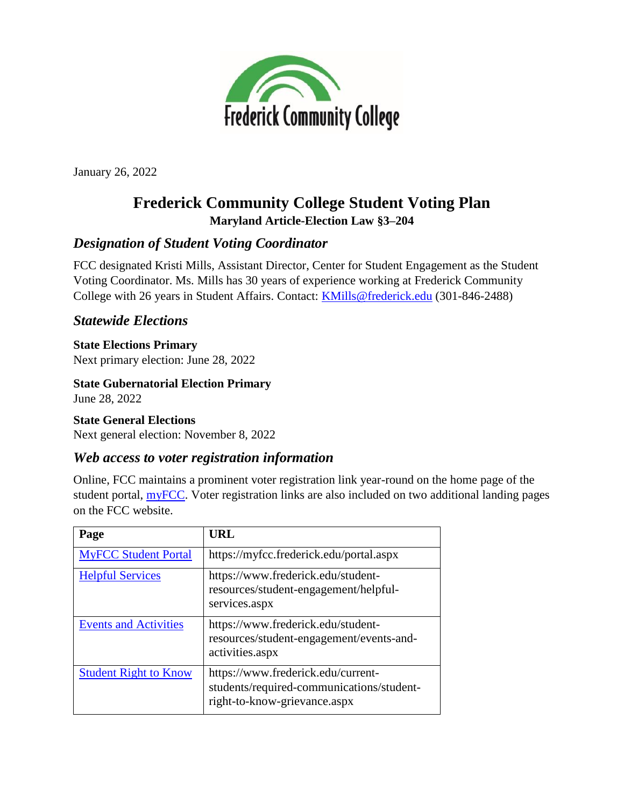

January 26, 2022

# **Frederick Community College Student Voting Plan Maryland Article-Election Law §3–204**

# *Designation of Student Voting Coordinator*

FCC designated Kristi Mills, Assistant Director, Center for Student Engagement as the Student Voting Coordinator. Ms. Mills has 30 years of experience working at Frederick Community College with 26 years in Student Affairs. Contact: [KMills@frederick.edu](mailto:KMills@frederick.edu) (301-846-2488)

## *Statewide Elections*

### **State Elections Primary**

Next primary election: June 28, 2022

**State Gubernatorial Election Primary** June 28, 2022

### **State General Elections**

Next general election: November 8, 2022

### *Web access to voter registration information*

Online, FCC maintains a prominent voter registration link year-round on the home page of the student portal, **myFCC**. Voter registration links are also included on two additional landing pages on the FCC website.

| Page                         | URL                                                                                                             |
|------------------------------|-----------------------------------------------------------------------------------------------------------------|
| <b>MyFCC Student Portal</b>  | https://myfcc.frederick.edu/portal.aspx                                                                         |
| <b>Helpful Services</b>      | https://www.frederick.edu/student-<br>resources/student-engagement/helpful-<br>services.aspx                    |
| <b>Events and Activities</b> | https://www.frederick.edu/student-<br>resources/student-engagement/events-and-<br>activities.aspx               |
| <b>Student Right to Know</b> | https://www.frederick.edu/current-<br>students/required-communications/student-<br>right-to-know-grievance.aspx |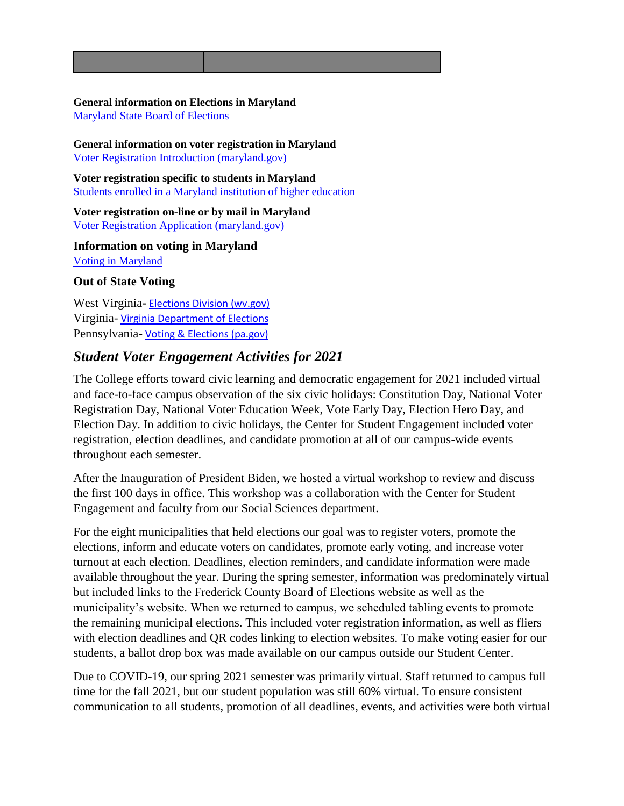#### **General information on Elections in Maryland** [Maryland State Board of Elections](https://elections.maryland.gov/index.html)

**General information on voter registration in Maryland** [Voter Registration Introduction \(maryland.gov\)](https://elections.maryland.gov/voter_registration/)

**Voter registration specific to students in Maryland** [Students enrolled in a Maryland institution of higher education](https://elections.maryland.gov/voter_registration/students.html)

**Voter registration on-line or by mail in Maryland** [Voter Registration Application \(maryland.gov\)](https://elections.maryland.gov/voter_registration/application.html)

**Information on voting in Maryland** [Voting in Maryland](https://elections.maryland.gov/voting/index.html)

### **Out of State Voting**

West Virginia**-** [Elections Division \(wv.gov\)](https://sos.wv.gov/elections/Pages/default.aspx) Virginia- [Virginia Department of Elections](https://www.elections.virginia.gov/) Pennsylvania- [Voting & Elections \(pa.gov\)](https://www.dos.pa.gov/VotingElections/Pages/default.aspx)

# *Student Voter Engagement Activities for 2021*

The College efforts toward civic learning and democratic engagement for 2021 included virtual and face-to-face campus observation of the six civic holidays: Constitution Day, National Voter Registration Day, National Voter Education Week, Vote Early Day, Election Hero Day, and Election Day. In addition to civic holidays, the Center for Student Engagement included voter registration, election deadlines, and candidate promotion at all of our campus-wide events throughout each semester.

After the Inauguration of President Biden, we hosted a virtual workshop to review and discuss the first 100 days in office. This workshop was a collaboration with the Center for Student Engagement and faculty from our Social Sciences department.

For the eight municipalities that held elections our goal was to register voters, promote the elections, inform and educate voters on candidates, promote early voting, and increase voter turnout at each election. Deadlines, election reminders, and candidate information were made available throughout the year. During the spring semester, information was predominately virtual but included links to the Frederick County Board of Elections website as well as the municipality's website. When we returned to campus, we scheduled tabling events to promote the remaining municipal elections. This included voter registration information, as well as fliers with election deadlines and QR codes linking to election websites. To make voting easier for our students, a ballot drop box was made available on our campus outside our Student Center.

Due to COVID-19, our spring 2021 semester was primarily virtual. Staff returned to campus full time for the fall 2021, but our student population was still 60% virtual. To ensure consistent communication to all students, promotion of all deadlines, events, and activities were both virtual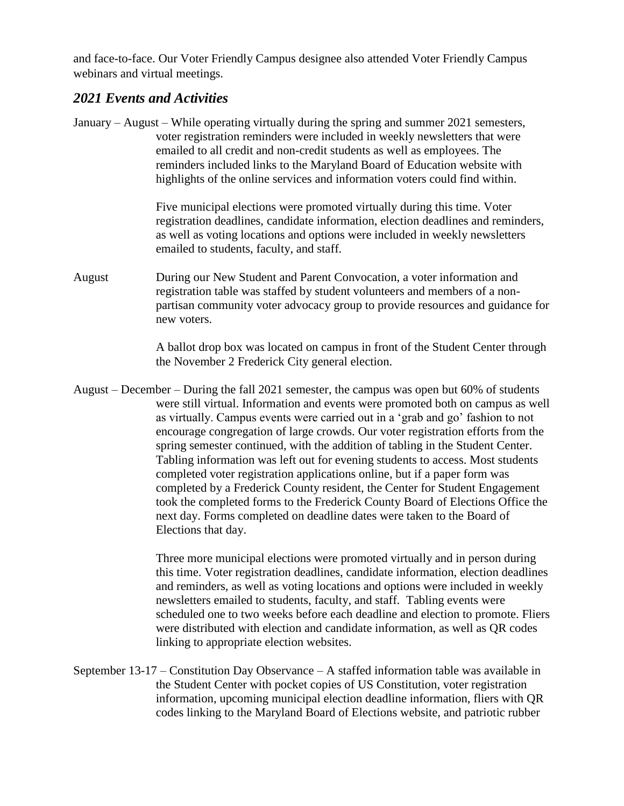and face-to-face. Our Voter Friendly Campus designee also attended Voter Friendly Campus webinars and virtual meetings.

### *2021 Events and Activities*

January – August – While operating virtually during the spring and summer 2021 semesters, voter registration reminders were included in weekly newsletters that were emailed to all credit and non-credit students as well as employees. The reminders included links to the Maryland Board of Education website with highlights of the online services and information voters could find within.

> Five municipal elections were promoted virtually during this time. Voter registration deadlines, candidate information, election deadlines and reminders, as well as voting locations and options were included in weekly newsletters emailed to students, faculty, and staff.

August During our New Student and Parent Convocation, a voter information and registration table was staffed by student volunteers and members of a nonpartisan community voter advocacy group to provide resources and guidance for new voters.

> A ballot drop box was located on campus in front of the Student Center through the November 2 Frederick City general election.

August – December – During the fall 2021 semester, the campus was open but 60% of students were still virtual. Information and events were promoted both on campus as well as virtually. Campus events were carried out in a 'grab and go' fashion to not encourage congregation of large crowds. Our voter registration efforts from the spring semester continued, with the addition of tabling in the Student Center. Tabling information was left out for evening students to access. Most students completed voter registration applications online, but if a paper form was completed by a Frederick County resident, the Center for Student Engagement took the completed forms to the Frederick County Board of Elections Office the next day. Forms completed on deadline dates were taken to the Board of Elections that day.

> Three more municipal elections were promoted virtually and in person during this time. Voter registration deadlines, candidate information, election deadlines and reminders, as well as voting locations and options were included in weekly newsletters emailed to students, faculty, and staff. Tabling events were scheduled one to two weeks before each deadline and election to promote. Fliers were distributed with election and candidate information, as well as QR codes linking to appropriate election websites.

September 13-17 – Constitution Day Observance – A staffed information table was available in the Student Center with pocket copies of US Constitution, voter registration information, upcoming municipal election deadline information, fliers with QR codes linking to the Maryland Board of Elections website, and patriotic rubber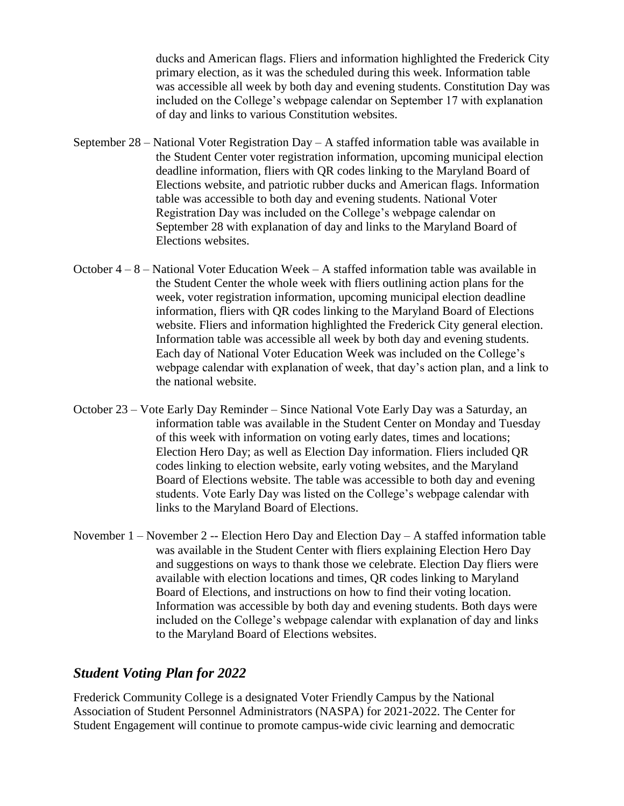ducks and American flags. Fliers and information highlighted the Frederick City primary election, as it was the scheduled during this week. Information table was accessible all week by both day and evening students. Constitution Day was included on the College's webpage calendar on September 17 with explanation of day and links to various Constitution websites.

- September 28 National Voter Registration Day A staffed information table was available in the Student Center voter registration information, upcoming municipal election deadline information, fliers with QR codes linking to the Maryland Board of Elections website, and patriotic rubber ducks and American flags. Information table was accessible to both day and evening students. National Voter Registration Day was included on the College's webpage calendar on September 28 with explanation of day and links to the Maryland Board of Elections websites.
- October  $4 8$  National Voter Education Week A staffed information table was available in the Student Center the whole week with fliers outlining action plans for the week, voter registration information, upcoming municipal election deadline information, fliers with QR codes linking to the Maryland Board of Elections website. Fliers and information highlighted the Frederick City general election. Information table was accessible all week by both day and evening students. Each day of National Voter Education Week was included on the College's webpage calendar with explanation of week, that day's action plan, and a link to the national website.
- October 23 Vote Early Day Reminder Since National Vote Early Day was a Saturday, an information table was available in the Student Center on Monday and Tuesday of this week with information on voting early dates, times and locations; Election Hero Day; as well as Election Day information. Fliers included QR codes linking to election website, early voting websites, and the Maryland Board of Elections website. The table was accessible to both day and evening students. Vote Early Day was listed on the College's webpage calendar with links to the Maryland Board of Elections.
- November 1 November 2 -- Election Hero Day and Election Day A staffed information table was available in the Student Center with fliers explaining Election Hero Day and suggestions on ways to thank those we celebrate. Election Day fliers were available with election locations and times, QR codes linking to Maryland Board of Elections, and instructions on how to find their voting location. Information was accessible by both day and evening students. Both days were included on the College's webpage calendar with explanation of day and links to the Maryland Board of Elections websites.

### *Student Voting Plan for 2022*

Frederick Community College is a designated Voter Friendly Campus by the National Association of Student Personnel Administrators (NASPA) for 2021-2022. The Center for Student Engagement will continue to promote campus-wide civic learning and democratic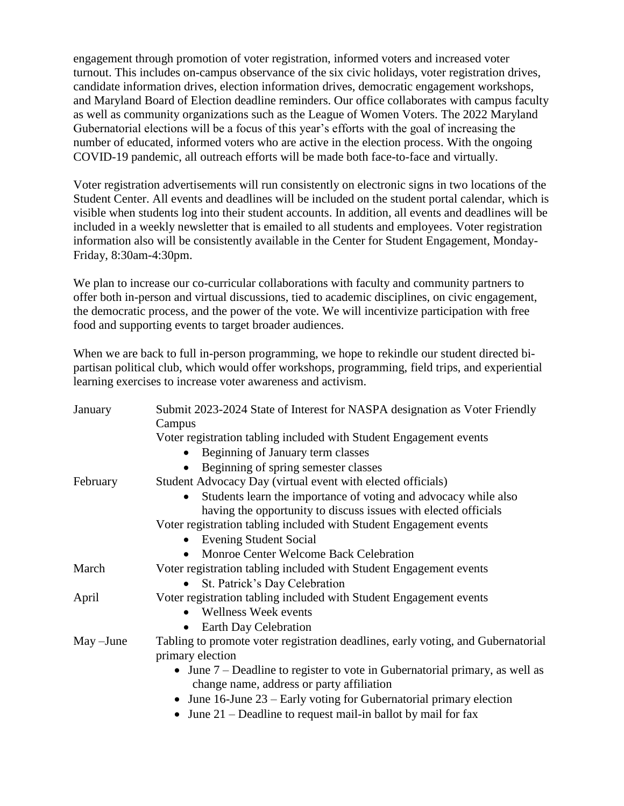engagement through promotion of voter registration, informed voters and increased voter turnout. This includes on-campus observance of the six civic holidays, voter registration drives, candidate information drives, election information drives, democratic engagement workshops, and Maryland Board of Election deadline reminders. Our office collaborates with campus faculty as well as community organizations such as the League of Women Voters. The 2022 Maryland Gubernatorial elections will be a focus of this year's efforts with the goal of increasing the number of educated, informed voters who are active in the election process. With the ongoing COVID-19 pandemic, all outreach efforts will be made both face-to-face and virtually.

Voter registration advertisements will run consistently on electronic signs in two locations of the Student Center. All events and deadlines will be included on the student portal calendar, which is visible when students log into their student accounts. In addition, all events and deadlines will be included in a weekly newsletter that is emailed to all students and employees. Voter registration information also will be consistently available in the Center for Student Engagement, Monday-Friday, 8:30am-4:30pm.

We plan to increase our co-curricular collaborations with faculty and community partners to offer both in-person and virtual discussions, tied to academic disciplines, on civic engagement, the democratic process, and the power of the vote. We will incentivize participation with free food and supporting events to target broader audiences.

When we are back to full in-person programming, we hope to rekindle our student directed bipartisan political club, which would offer workshops, programming, field trips, and experiential learning exercises to increase voter awareness and activism.

| January     | Submit 2023-2024 State of Interest for NASPA designation as Voter Friendly<br>Campus                                        |
|-------------|-----------------------------------------------------------------------------------------------------------------------------|
|             | Voter registration tabling included with Student Engagement events                                                          |
|             | Beginning of January term classes                                                                                           |
|             | Beginning of spring semester classes                                                                                        |
| February    | Student Advocacy Day (virtual event with elected officials)                                                                 |
|             | Students learn the importance of voting and advocacy while also                                                             |
|             | having the opportunity to discuss issues with elected officials                                                             |
|             | Voter registration tabling included with Student Engagement events                                                          |
|             | <b>Evening Student Social</b><br>$\bullet$                                                                                  |
|             | Monroe Center Welcome Back Celebration<br>$\bullet$                                                                         |
| March       | Voter registration tabling included with Student Engagement events                                                          |
|             | St. Patrick's Day Celebration                                                                                               |
| April       | Voter registration tabling included with Student Engagement events                                                          |
|             | <b>Wellness Week events</b><br>$\bullet$                                                                                    |
|             | Earth Day Celebration                                                                                                       |
| $May$ –June | Tabling to promote voter registration deadlines, early voting, and Gubernatorial                                            |
|             | primary election                                                                                                            |
|             | • June $7$ – Deadline to register to vote in Gubernatorial primary, as well as<br>change name, address or party affiliation |
|             | • June 16-June $23$ – Early voting for Gubernatorial primary election                                                       |
|             | • June 21 – Deadline to request mail-in ballot by mail for fax                                                              |